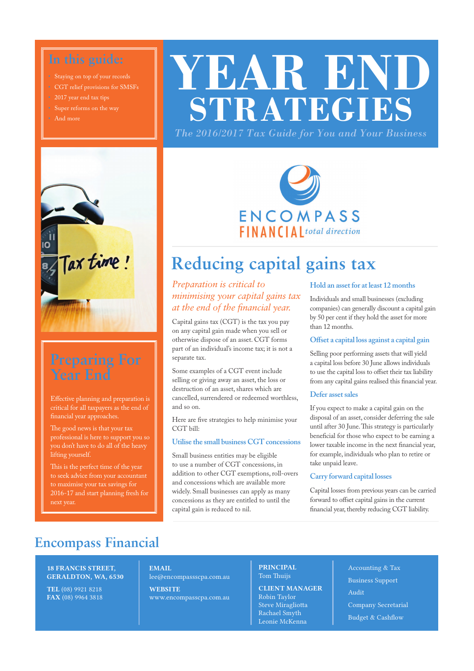## **In this guide:**

- Staying on top of your records • CGT relief provisions for SMSFs
- 2017 year end tax tips
- Super reforms on the way
- And more

# **YEAR END STRATEGIES** *The 2016/2017 Tax Guide for You and Your Business*



## **Preparing For Year End**

Effective planning and preparation is critical for all taxpayers as the end of financial year approaches.

The good news is that your tax professional is here to support you so you don't have to do all of the heavy lifting yourself.

to maximise your tax savings for 2016-17 and start planning fresh for

# ENCOMPASS **FINANCIA** I total direction

## **Reducing capital gains tax**

## *Preparation is critical to minimising your capital gains tax at the end of the financial year.*

Capital gains tax (CGT) is the tax you pay on any capital gain made when you sell or otherwise dispose of an asset. CGT forms part of an individual's income tax; it is not a separate tax.

Some examples of a CGT event include selling or giving away an asset, the loss or destruction of an asset, shares which are cancelled, surrendered or redeemed worthless, and so on.

Here are five strategies to help minimise your CGT bill:

## **Utilise the small business CGT concessions**

Small business entities may be eligible to use a number of CGT concessions, in addition to other CGT exemptions, roll-overs and concessions which are available more widely. Small businesses can apply as many concessions as they are entitled to until the capital gain is reduced to nil.

## **Hold an asset for at least 12 months**

Individuals and small businesses (excluding companies) can generally discount a capital gain by 50 per cent if they hold the asset for more than 12 months.

## Offset a capital loss against a capital gain

Selling poor performing assets that will yield a capital loss before 30 June allows individuals to use the capital loss to offset their tax liability from any capital gains realised this financial year.

## **Defer asset sales**

If you expect to make a capital gain on the disposal of an asset, consider deferring the sale until after 30 June. This strategy is particularly beneficial for those who expect to be earning a lower taxable income in the next financial year, for example, individuals who plan to retire or take unpaid leave.

## **Carry forward capital losses**

Capital losses from previous years can be carried forward to offset capital gains in the current financial year, thereby reducing CGT liability.

## **Encompass Financial**

### 18 FRANCIS STREET, GERALDTON, WA, 6530

TEL (08) 9921 8218 FAX (08) 9964 3818

## EMAIL

lee@encompassscpa.com.au **WEBSITE** 

www.encompasscpa.com.au

### PRINCIPAL Tom Thuijs

CLIENT MANAGER Robin Taylor Steve Miragliotta Rachael Smyth Leonie McKenna

Accounting & Tax Business Support Audit Company Secretarial Budget & Cashflow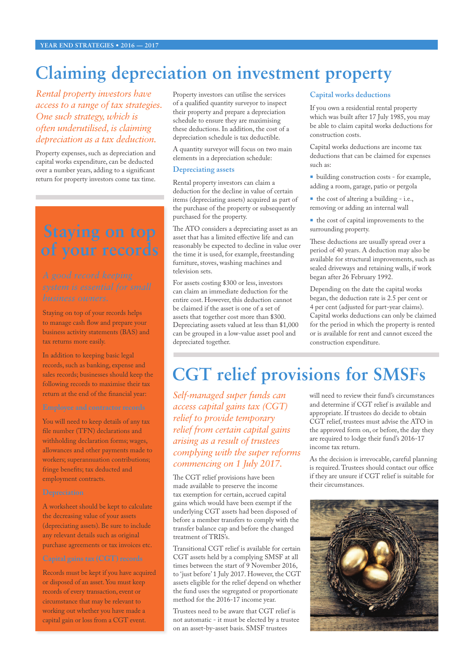## **Claiming depreciation on investment property**

*Rental property investors have access to a range of tax strategies. One such strategy, which is often underutilised, is claiming depreciation as a tax deduction.*

Property expenses, such as depreciation and capital works expenditure, can be deducted over a number years, adding to a significant return for property investors come tax time.

## **Staying on top of your records**

## *A good record keeping system is essential for small business owners.*

Staying on top of your records helps to manage cash flow and prepare your business activity statements (BAS) and tax returns more easily.

In addition to keeping basic legal records, such as banking, expense and sales records; businesses should keep the following records to maximise their tax return at the end of the financial year:

**Employee and contractor records**

You will need to keep details of any tax file number (TFN) declarations and withholding declaration forms; wages, allowances and other payments made to workers; superannuation contributions; fringe benefits; tax deducted and employment contracts.

### **Depreciation**

A worksheet should be kept to calculate the decreasing value of your assets (depreciating assets). Be sure to include any relevant details such as original purchase agreements or tax invoices etc.

### **Capital gains tax (CGT) records**

Records must be kept if you have acquired or disposed of an asset. You must keep records of every transaction, event or circumstance that may be relevant to working out whether you have made a capital gain or loss from a CGT event.

Property investors can utilise the services of a qualified quantity surveyor to inspect their property and prepare a depreciation schedule to ensure they are maximising these deductions. In addition, the cost of a depreciation schedule is tax deductible.

A quantity surveyor will focus on two main elements in a depreciation schedule:

### **Depreciating assets**

Rental property investors can claim a deduction for the decline in value of certain items (depreciating assets) acquired as part of the purchase of the property or subsequently purchased for the property.

The ATO considers a depreciating asset as an asset that has a limited effective life and can reasonably be expected to decline in value over the time it is used, for example, freestanding furniture, stoves, washing machines and television sets.

For assets costing \$300 or less, investors can claim an immediate deduction for the entire cost. However, this deduction cannot be claimed if the asset is one of a set of assets that together cost more than \$300. Depreciating assets valued at less than \$1,000 can be grouped in a low-value asset pool and depreciated together.

### **Capital works deductions**

If you own a residential rental property which was built after 17 July 1985, you may be able to claim capital works deductions for construction costs.

Capital works deductions are income tax deductions that can be claimed for expenses such as:

- building construction costs for example, adding a room, garage, patio or pergola
- $\blacksquare$  the cost of altering a building i.e., removing or adding an internal wall
- $\blacksquare$  the cost of capital improvements to the surrounding property.

These deductions are usually spread over a period of 40 years. A deduction may also be available for structural improvements, such as sealed driveways and retaining walls, if work began after 26 February 1992.

Depending on the date the capital works began, the deduction rate is 2.5 per cent or 4 per cent (adjusted for part-year claims). Capital works deductions can only be claimed for the period in which the property is rented or is available for rent and cannot exceed the construction expenditure.

## **CGT relief provisions for SMSFs**

*Self-managed super funds can access capital gains tax (CGT) relief to provide temporary relief from certain capital gains arising as a result of trustees complying with the super reforms commencing on 1 July 2017.*

The CGT relief provisions have been made available to preserve the income tax exemption for certain, accrued capital gains which would have been exempt if the underlying CGT assets had been disposed of before a member transfers to comply with the transfer balance cap and before the changed treatment of TRIS's.

Transitional CGT relief is available for certain CGT assets held by a complying SMSF at all times between the start of 9 November 2016, to 'just before' 1 July 2017. However, the CGT assets eligible for the relief depend on whether the fund uses the segregated or proportionate method for the 2016-17 income year.

Trustees need to be aware that CGT relief is not automatic - it must be elected by a trustee on an asset-by-asset basis. SMSF trustees

will need to review their fund's circumstances and determine if CGT relief is available and appropriate. If trustees do decide to obtain CGT relief, trustees must advise the ATO in the approved form on, or before, the day they are required to lodge their fund's 2016-17 income tax return.

As the decision is irrevocable, careful planning is required. Trustees should contact our office if they are unsure if CGT relief is suitable for their circumstances.

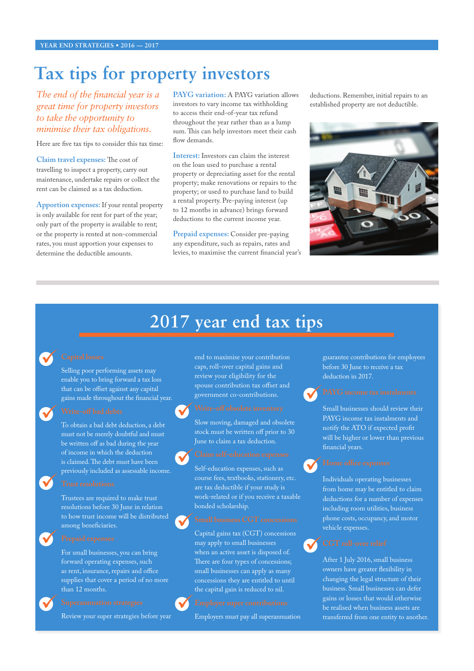## **Tax tips for property investors**

*The end of the financial year is a great time for property investors to take the opportunity to minimise their tax obligations.* 

Here are five tax tips to consider this tax time:

**Claim travel expenses:** The cost of travelling to inspect a property, carry out maintenance, undertake repairs or collect the rent can be claimed as a tax deduction.

**Apportion expenses:** If your rental property is only available for rent for part of the year; only part of the property is available to rent; or the property is rented at non-commercial rates, you must apportion your expenses to determine the deductible amounts.

**PAYG** variation: A PAYG variation allows investors to vary income tax withholding to access their end-of-year tax refund throughout the year rather than as a lump sum. This can help investors meet their cash 3ow demands.

**Interest:** Investors can claim the interest on the loan used to purchase a rental property or depreciating asset for the rental property; make renovations or repairs to the property; or used to purchase land to build a rental property. Pre-paying interest (up to 12 months in advance) brings forward deductions to the current income year.

**Prepaid expenses:** Consider pre-paying any expenditure, such as repairs, rates and levies, to maximise the current financial year's deductions. Remember, initial repairs to an established property are not deductible.



## **2017 year end tax tips**



Selling poor performing assets may enable you to bring forward a tax loss that can be offset against any capital gains made throughout the financial year.

To obtain a bad debt deduction, a debt must not be merely doubtful and must be written off as bad during the year of income in which the deduction is claimed. The debt must have been previously included as assessable income.

Trustees are required to make trust resolutions before 30 June in relation to how trust income will be distributed among beneficiaries.

For small businesses, you can bring forward operating expenses, such as rent, insurance, repairs and office supplies that cover a period of no more than 12 months.



Review your super strategies before year

end to maximise your contribution caps, roll-over capital gains and review your eligibility for the spouse contribution tax offset and government co-contributions.

Slow moving, damaged and obsolete stock must be written off prior to 30 June to claim a tax deduction.

Self-education expenses, such as course fees, textbooks, stationery, etc. are tax deductible if your study is work-related or if you receive a taxable bonded scholarship.

Capital gains tax (CGT) concessions may apply to small businesses when an active asset is disposed of. There are four types of concessions; small businesses can apply as many concessions they are entitled to until the capital gain is reduced to nil.

Employers must pay all superannuation

guarantee contributions for employees before 30 June to receive a tax deduction in 2017.

Small businesses should review their PAYG income tax instalments and notify the ATO if expected profit will be higher or lower than previous financial years.



Individuals operating businesses from home may be entitled to claim deductions for a number of expenses including room utilities, business phone costs, occupancy, and motor vehicle expenses.



After 1 July 2016, small business owners have greater flexibility in changing the legal structure of their business. Small businesses can defer gains or losses that would otherwise be realised when business assets are transferred from one entity to another.